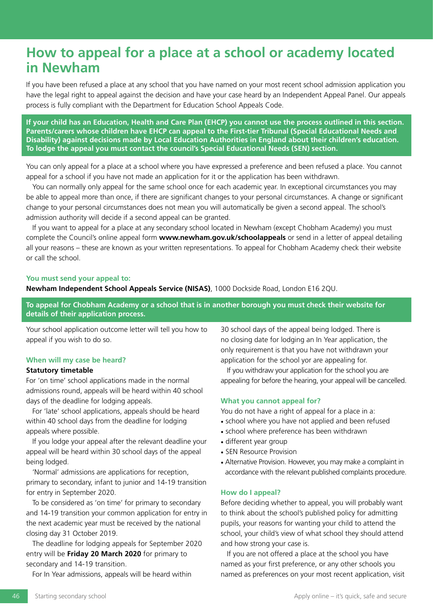# **How to appeal for a place at a school or academy located in Newham**

If you have been refused a place at any school that you have named on your most recent school admission application you have the legal right to appeal against the decision and have your case heard by an Independent Appeal Panel. Our appeals process is fully compliant with the Department for Education School Appeals Code.

**If your child has an Education, Health and Care Plan (EHCP) you cannot use the process outlined in this section. Parents/carers whose children have EHCP can appeal to the First-tier Tribunal (Special Educational Needs and Disability) against decisions made by Local Education Authorities in England about their children's education. To lodge the appeal you must contact the council's Special Educational Needs (SEN) section.** 

You can only appeal for a place at a school where you have expressed a preference and been refused a place. You cannot appeal for a school if you have not made an application for it or the application has been withdrawn.

You can normally only appeal for the same school once for each academic year. In exceptional circumstances you may be able to appeal more than once, if there are significant changes to your personal circumstances. A change or significant change to your personal circumstances does not mean you will automatically be given a second appeal. The school's admission authority will decide if a second appeal can be granted.

If you want to appeal for a place at any secondary school located in Newham (except Chobham Academy) you must complete the Council's online appeal form **www.newham.gov.uk/schoolappeals** or send in a letter of appeal detailing all your reasons – these are known as your written representations. To appeal for Chobham Academy check their website or call the school.

### **You must send your appeal to:**

**Newham Independent School Appeals Service (NISAS)**, 1000 Dockside Road, London E16 2QU.

**To appeal for Chobham Academy or a school that is in another borough you must check their website for details of their application process.** 

Your school application outcome letter will tell you how to appeal if you wish to do so.

### **When will my case be heard?**

## **Statutory timetable**

For 'on time' school applications made in the normal admissions round, appeals will be heard within 40 school days of the deadline for lodging appeals.

For 'late' school applications, appeals should be heard within 40 school days from the deadline for lodging appeals where possible.

If you lodge your appeal after the relevant deadline your appeal will be heard within 30 school days of the appeal being lodged.

'Normal' admissions are applications for reception, primary to secondary, infant to junior and 14-19 transition for entry in September 2020.

To be considered as 'on time' for primary to secondary and 14-19 transition your common application for entry in the next academic year must be received by the national closing day 31 October 2019.

The deadline for lodging appeals for September 2020 entry will be **Friday 20 March 2020** for primary to secondary and 14-19 transition.

For In Year admissions, appeals will be heard within

30 school days of the appeal being lodged. There is no closing date for lodging an In Year application, the only requirement is that you have not withdrawn your application for the school yor are appealing for.

If you withdraw your application for the school you are appealing for before the hearing, your appeal will be cancelled.

# **What you cannot appeal for?**

You do not have a right of appeal for a place in a:

- school where you have not applied and been refused
- school where preference has been withdrawn
- different year group
- SEN Resource Provision
- Alternative Provision. However, you may make a complaint in accordance with the relevant published complaints procedure.

# **How do I appeal?**

Before deciding whether to appeal, you will probably want to think about the school's published policy for admitting pupils, your reasons for wanting your child to attend the school, your child's view of what school they should attend and how strong your case is.

If you are not offered a place at the school you have named as your first preference, or any other schools you named as preferences on your most recent application, visit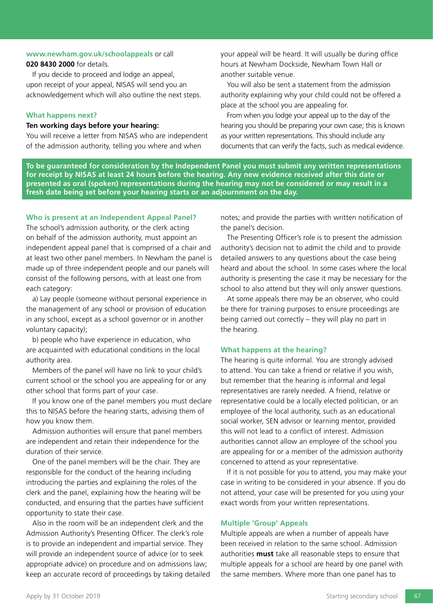## **www.newham.gov.uk/schoolappeals** or call **020 8430 2000** for details.

If you decide to proceed and lodge an appeal, upon receipt of your appeal, NISAS will send you an acknowledgement which will also outline the next steps.

### **What happens next?**

# **Ten working days before your hearing:**

You will receive a letter from NISAS who are independent of the admission authority, telling you where and when

your appeal will be heard. It will usually be during office hours at Newham Dockside, Newham Town Hall or another suitable venue.

You will also be sent a statement from the admission authority explaining why your child could not be offered a place at the school you are appealing for.

From when you lodge your appeal up to the day of the hearing you should be preparing your own case; this is known as your written representations. This should include any documents that can verify the facts, such as medical evidence.

**To be guaranteed for consideration by the Independent Panel you must submit any written representations for receipt by NISAS at least 24 hours before the hearing. Any new evidence received after this date or presented as oral (spoken) representations during the hearing may not be considered or may result in a fresh date being set before your hearing starts or an adjournment on the day.**

# **Who is present at an Independent Appeal Panel?**

The school's admission authority, or the clerk acting on behalf of the admission authority, must appoint an independent appeal panel that is comprised of a chair and at least two other panel members. In Newham the panel is made up of three independent people and our panels will consist of the following persons, with at least one from each category:

a) Lay people (someone without personal experience in the management of any school or provision of education in any school, except as a school governor or in another voluntary capacity);

b) people who have experience in education, who are acquainted with educational conditions in the local authority area.

Members of the panel will have no link to your child's current school or the school you are appealing for or any other school that forms part of your case.

If you know one of the panel members you must declare this to NISAS before the hearing starts, advising them of how you know them.

Admission authorities will ensure that panel members are independent and retain their independence for the duration of their service.

One of the panel members will be the chair. They are responsible for the conduct of the hearing including introducing the parties and explaining the roles of the clerk and the panel, explaining how the hearing will be conducted, and ensuring that the parties have sufficient opportunity to state their case.

Also in the room will be an independent clerk and the Admission Authority's Presenting Officer. The clerk's role is to provide an independent and impartial service. They will provide an independent source of advice (or to seek appropriate advice) on procedure and on admissions law; keep an accurate record of proceedings by taking detailed notes; and provide the parties with written notification of the panel's decision.

The Presenting Officer's role is to present the admission authority's decision not to admit the child and to provide detailed answers to any questions about the case being heard and about the school. In some cases where the local authority is presenting the case it may be necessary for the school to also attend but they will only answer questions.

At some appeals there may be an observer, who could be there for training purposes to ensure proceedings are being carried out correctly – they will play no part in the hearing.

### **What happens at the hearing?**

The hearing is quite informal. You are strongly advised to attend. You can take a friend or relative if you wish, but remember that the hearing is informal and legal representatives are rarely needed. A friend, relative or representative could be a locally elected politician, or an employee of the local authority, such as an educational social worker, SEN advisor or learning mentor, provided this will not lead to a conflict of interest. Admission authorities cannot allow an employee of the school you are appealing for or a member of the admission authority concerned to attend as your representative.

If it is not possible for you to attend, you may make your case in writing to be considered in your absence. If you do not attend, your case will be presented for you using your exact words from your written representations.

# **Multiple 'Group' Appeals**

Multiple appeals are when a number of appeals have been received in relation to the same school. Admission authorities **must** take all reasonable steps to ensure that multiple appeals for a school are heard by one panel with the same members. Where more than one panel has to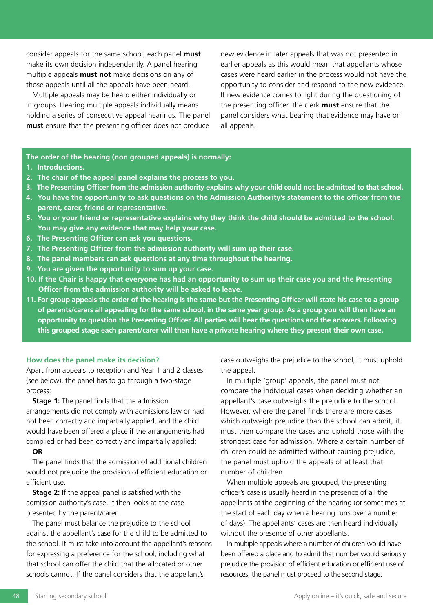consider appeals for the same school, each panel **must** make its own decision independently. A panel hearing multiple appeals **must not** make decisions on any of those appeals until all the appeals have been heard.

Multiple appeals may be heard either individually or in groups. Hearing multiple appeals individually means holding a series of consecutive appeal hearings. The panel **must** ensure that the presenting officer does not produce

new evidence in later appeals that was not presented in earlier appeals as this would mean that appellants whose cases were heard earlier in the process would not have the opportunity to consider and respond to the new evidence. If new evidence comes to light during the questioning of the presenting officer, the clerk **must** ensure that the panel considers what bearing that evidence may have on all appeals.

**The order of the hearing (non grouped appeals) is normally:**

- **1. Introductions.**
- **2. The chair of the appeal panel explains the process to you.**
- **3. The Presenting Officer from the admission authority explains why your child could not be admitted to that school.**
- **4. You have the opportunity to ask questions on the Admission Authority's statement to the officer from the parent, carer, friend or representative.**
- **5. You or your friend or representative explains why they think the child should be admitted to the school. You may give any evidence that may help your case.**
- **6. The Presenting Officer can ask you questions.**
- **7. The Presenting Officer from the admission authority will sum up their case.**
- **8. The panel members can ask questions at any time throughout the hearing.**
- **9. You are given the opportunity to sum up your case.**
- **10. If the Chair is happy that everyone has had an opportunity to sum up their case you and the Presenting Officer from the admission authority will be asked to leave.**
- **11. For group appeals the order of the hearing is the same but the Presenting Officer will state his case to a group of parents/carers all appealing for the same school, in the same year group. As a group you will then have an opportunity to question the Presenting Officer. All parties will hear the questions and the answers. Following this grouped stage each parent/carer will then have a private hearing where they present their own case.**

### **How does the panel make its decision?**

Apart from appeals to reception and Year 1 and 2 classes (see below), the panel has to go through a two-stage process:

**Stage 1:** The panel finds that the admission arrangements did not comply with admissions law or had not been correctly and impartially applied, and the child would have been offered a place if the arrangements had complied or had been correctly and impartially applied;

### **OR**

The panel finds that the admission of additional children would not prejudice the provision of efficient education or efficient use.

**Stage 2:** If the appeal panel is satisfied with the admission authority's case, it then looks at the case presented by the parent/carer.

The panel must balance the prejudice to the school against the appellant's case for the child to be admitted to the school. It must take into account the appellant's reasons for expressing a preference for the school, including what that school can offer the child that the allocated or other schools cannot. If the panel considers that the appellant's

case outweighs the prejudice to the school, it must uphold the appeal.

In multiple 'group' appeals, the panel must not compare the individual cases when deciding whether an appellant's case outweighs the prejudice to the school. However, where the panel finds there are more cases which outweigh prejudice than the school can admit, it must then compare the cases and uphold those with the strongest case for admission. Where a certain number of children could be admitted without causing prejudice, the panel must uphold the appeals of at least that number of children.

When multiple appeals are grouped, the presenting officer's case is usually heard in the presence of all the appellants at the beginning of the hearing (or sometimes at the start of each day when a hearing runs over a number of days). The appellants' cases are then heard individually without the presence of other appellants.

In multiple appeals where a number of children would have been offered a place and to admit that number would seriously prejudice the provision of efficient education or efficient use of resources, the panel must proceed to the second stage.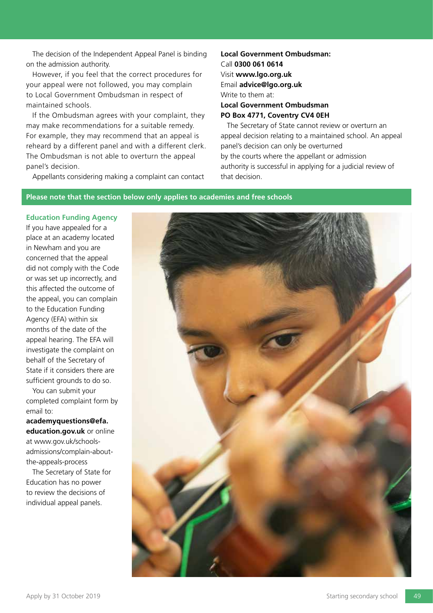The decision of the Independent Appeal Panel is binding on the admission authority.

However, if you feel that the correct procedures for your appeal were not followed, you may complain to Local Government Ombudsman in respect of maintained schools.

If the Ombudsman agrees with your complaint, they may make recommendations for a suitable remedy. For example, they may recommend that an appeal is reheard by a different panel and with a different clerk. The Ombudsman is not able to overturn the appeal panel's decision.

Appellants considering making a complaint can contact

**Local Government Ombudsman:** Call **0300 061 0614** Visit **www.lgo.org.uk**  Email **advice@lgo.org.uk** Write to them at: **Local Government Ombudsman PO Box 4771, Coventry CV4 0EH**

The Secretary of State cannot review or overturn an appeal decision relating to a maintained school. An appeal panel's decision can only be overturned by the courts where the appellant or admission authority is successful in applying for a judicial review of that decision.

# **Please note that the section below only applies to academies and free schools**

**Education Funding Agency** If you have appealed for a place at an academy located in Newham and you are concerned that the appeal did not comply with the Code or was set up incorrectly, and this affected the outcome of the appeal, you can complain to the Education Funding Agency (EFA) within six months of the date of the appeal hearing. The EFA will investigate the complaint on behalf of the Secretary of State if it considers there are sufficient grounds to do so.

You can submit your completed complaint form by email to:

**academyquestions@efa. education.gov.uk** or online at www.gov.uk/schoolsadmissions/complain-aboutthe-appeals-process

The Secretary of State for Education has no power to review the decisions of individual appeal panels.